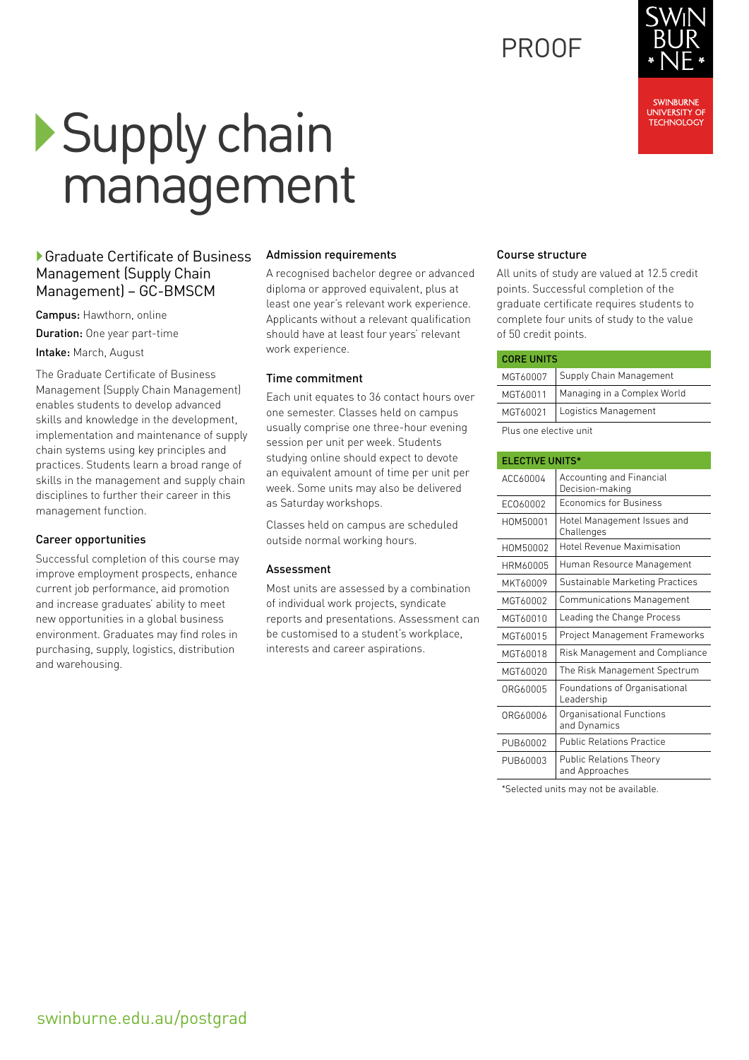## PROOF

Course structure

All units of study are valued at 12.5 credit points. Successful completion of the graduate certificate requires students to complete four units of study to the value of 50 credit points.

| <b>CORE UNITS</b> |                             |
|-------------------|-----------------------------|
| MGT60007          | Supply Chain Management     |
| MGT60011          | Managing in a Complex World |
| MGT60021          | Logistics Management        |

Plus one elective unit

| <b>ELECTIVE UNITS*</b> |                                                    |
|------------------------|----------------------------------------------------|
| ACC60004               | <b>Accounting and Financial</b><br>Decision-making |
| EC060002               | <b>Economics for Business</b>                      |
| HOM50001               | Hotel Management Issues and<br>Challenges          |
| HOM50002               | <b>Hotel Revenue Maximisation</b>                  |
| HRM60005               | Human Resource Management                          |
| MKT60009               | Sustainable Marketing Practices                    |
| MGT60002               | <b>Communications Management</b>                   |
| MGT60010               | Leading the Change Process                         |
| MGT60015               | Project Management Frameworks                      |
| MGT60018               | Risk Management and Compliance                     |
| MGT60020               | The Risk Management Spectrum                       |
| ORG60005               | Foundations of Organisational<br>Leadership        |
| ORG60006               | Organisational Functions<br>and Dynamics           |
| PUB60002               | <b>Public Relations Practice</b>                   |
| PUB60003               | <b>Public Relations Theory</b><br>and Approaches   |

\*Selected units may not be available.

# Supply chain management

#### ▶ Graduate Certificate of Business Management (Supply Chain Management) – GC-BMSCM

Campus: Hawthorn, online Duration: One year part-time Intake: March, August

The Graduate Certificate of Business Management (Supply Chain Management) enables students to develop advanced skills and knowledge in the development, implementation and maintenance of supply chain systems using key principles and practices. Students learn a broad range of skills in the management and supply chain disciplines to further their career in this management function.

#### Career opportunities

Successful completion of this course may improve employment prospects, enhance current job performance, aid promotion and increase graduates' ability to meet new opportunities in a global business environment. Graduates may find roles in purchasing, supply, logistics, distribution and warehousing.

#### Admission requirements

A recognised bachelor degree or advanced diploma or approved equivalent, plus at least one year's relevant work experience. Applicants without a relevant qualification should have at least four years' relevant work experience.

#### Time commitment

Each unit equates to 36 contact hours over one semester. Classes held on campus usually comprise one three-hour evening session per unit per week. Students studying online should expect to devote an equivalent amount of time per unit per week. Some units may also be delivered as Saturday workshops.

Classes held on campus are scheduled outside normal working hours.

#### Assessment

Most units are assessed by a combination of individual work projects, syndicate reports and presentations. Assessment can be customised to a student's workplace, interests and career aspirations.